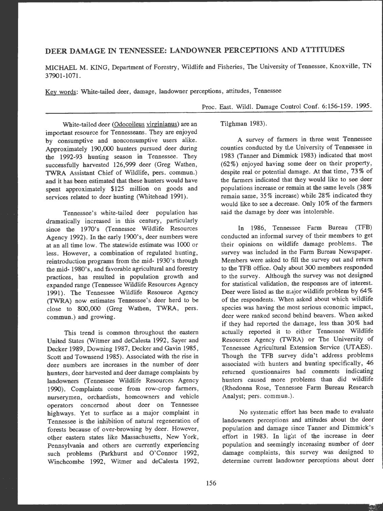# **DEER DAMAGE IN TENNESSEE: LANDOWNER PERCEPTIONS AND ATTITUDES**

**MICHAEL M. KING,** Department of Forestry, Wildlife and Fisheries, The University of Tennessee, **Knoxville, TN**  37901-1071.

Key words: White-tailed deer, damage, landowner perceptions, attitudes, Tennessee

Proc. East. Wild!. Damage Control Conf. 6:156-159. 1995.

White-tailed deer (Odocoileus virginianus) are an important resource for Tennesseans. They are enjoyed by consumptive and nonconsumptive users alike. Approximately 190,000 hunters pursued deer during the 1992-93 hunting season in Tennessee. They successfully harvested 126,999 deer (Greg Wathen, TWRA Assistant Chief of Wildlife, pers. commun.) and it has been estimated that these hunters would have spent approximately \$125 million on goods and services related to deer hunting (Whitehead 1991).

Tennessee's white-tailed deer population has dramatically increased in this century, particularly since the 1970's (Tennessee Wildlife Resources Agency 1992). In the early 1900's, deer numbers were at an all time low. The statewide estimate was I 000 or less. However, a combination of regulated hunting, reintroduction programs from the mid- 1930's through the mid- 1980's, and favorable agricultural and forestry practices, has resulted in population growth and expanded range (Tennessee Wildlife Resources Agency 1991). The Tennessee Wildlife Resource Agency (TWRA) now estimates Tennessee's deer herd to be close to **800,000** (Greg Wathen, TWRA, pers. commun.) and growing.

This trend is common throughout the eastern United States (Witmer and deCalesta 1992, Sayer and Decker 1989, Downing 1987, Decker and Gavin 1985, Scott and Townsend 1985). Associated with the rise in deer numbers are increases in the number of deer hunters, deer harvested and deer damage complaints by landowners (Tennessee Wildlife Resources Agency 1990). Complaints come from row-crop farmers, nurserymen, orchardists, homeowners and vehicle operators concerned about deer on Tennessee highways. Yet to surface as a major complaint in Tennessee is the inhibition of natural regeneration of forests because of over-browsing by deer. However, other eastern states like Massachusetts, New York, Pennsylvania and others are currently experiencing such problems (Parkhurst and O'Connor 1992, Winchcombe 1992, Witmer and deCalesta 1992,

Tilghman 1983).

A survey of farmers in three west Tennessee counties conducted by tLe University of Tennessee in 1983 (Tanner and Dimmick 1983) indicated that most (62%) enjoyed having some deer on their property, despite real or potential damage. At that time, 73% of the farmers indicated that they would like to see deer populations increase or remain at the same levels (38 % remain same, 35% increase) while 28% indicated they would like to see a decrease. Only 10% of the farmers said the damage by deer was intolerable.

In 1986, Tennessee Farm Bureau (TFB) conducted an informal survey of their members to get their opinions on wildlife damage problems. The survey was included in the Farm Bureau Newspaper. Members were asked to fill the survey out and return to the TFB office. Only about 300 members responded to the survey. Although the survey was not designed for statistical validation, the responses are of interest. Deer were listed as the major wildlife problem by 64 % of the respondents. When asked about which wildlife species was having the most serious economic impact, deer were ranked second behind beavers. When asked if they had reported the damage, less than 30% had actually reported it to either Tennessee Wildlife Resources Agency (TWRA) or The University of Tennessee Agricultural Extension Service (UTAES). Though the TFB survey didn't address problems associated with hunters and hunting specifically, 46 returned questionnaires had comments indicating hunters caused more problems than did wildlife (Rhedonna Rose, Tennessee Farm Bureau Research Analyst; pers. commun.).

No systematic effort has been made to evaluate landowners perceptions and attitudes about the deer population and damage since Tanner and Dimmick's effort in 1983. In light of the increase in deer population and seemingly increasing number of deer damage complaints, this survey was designed to determine current landowner perceptions about deer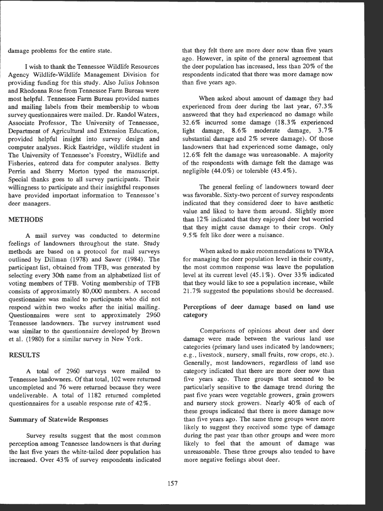damage problems for the entire state.

I wish to thank the Tennessee Wildlife Resources Agency Wildlife-Wildlife Management Division for providing funding for this study. Also Julius Johnson and Rhedonna Rose from Tennessee Farm Bureau were most helpful. Tennessee Farm Bureau provided names and mailing labels from their membership to whom survey questionnaires were mailed. Dr. Randol Waters, Associate Professor, The University of Tennessee, Department of Agricultural and Extension Education, provided helpful insight into survey design and computer analyses. Rick Eastridge, wildlife student in The University of Tennessee's Forestry, Wildlife and Fisheries, entered data for computer analyses. Betty Perrin and Sherry Morton typed the manuscript. Special thanks goes to all survey participants. Their willingness to participate and their insightful responses have provided important information to Tennessee's deer managers.

### **METHODS**

A mail survey was conducted to determine feelings of landowners throughout the state. Study methods are based on a protocol for mail surveys outlined by Dillman (1978) and Sawer (1984). The participant list, obtained from TFB, was generated by selecting every 30th name from an alphabetized list of voting members of TFB. Voting membership of TFB consists of approximately 80,000 members. A second questionnaire was mailed to participants who did not respond within two weeks after the initial mailing. Questionnaires were sent to approximately 2960 Tennessee landowners. The survey instrument used was similar to the questionnaire developed by Brown et al. (1980) for a similar survey in New York.

### **RESULTS**

A total of 2960 surveys were mailed to Tennessee landowners. Of that total, 102 were returned uncompleted and 76 were returned because they were undeliverable . A total of 1182 returned completed questionnaires for a useable response rate of 42%.

#### Summary of Statewide Responses

Survey results suggest that the most common perception among Tennessee landowners is that during the last five years the white-tailed deer population has increased. Over 43 % of survey respondents indicated that they felt there are more deer now than five years ago. However, in spite of the general agreement that the deer population has increased, less than 20 % of the respondents indicated that there was more damage now than five years ago.

When asked about amount of damage they had experienced from deer during the last year, 67.3% answered that they had experienced no damage while 32.6% incurred some damage (18.3% experienced light damage, 8.6% moderate damage, 3.7% substantial damage and 2% severe damage). Of those landowners that had experienced some damage, only 12.6% felt the damage was unreasonable. A majority of the respondents with damage felt the damage was negligible (44.0%) or tolerable (43.4%).

The general feeling of landowners toward deer was favorable. Sixty-two percent of survey respondents indicated that they considered deer to have aesthetic value and liked to have them around. Slightly more than 12 % indicated that they en joyed deer but worried that they might cause damage to their crops. Only 9.5% felt like deer were a nuisance.

When asked to make recommendations to TWRA for managing the deer population level in their county, the most common response was leave the population level at its current level  $(45.1\%)$ . Over 33% indicated that they would like to see a population increase, while 21. 7% suggested the populations should be decreased.

Perceptions of deer damage based on land use category

Comparisons of opinions about deer and deer damage were made between the various land use categories (primary land uses indicated by landowners; e.g., livestock, nursery, small fruits, row crops, etc.). Generally, most landowners, regardless of land use category indicated that there are more deer now than five years ago. Three groups that seemed to be particularly sensitive to the damage trend during the past five years were vegetable growers, grain growers and nursery stock growers. Nearly 40% of each of these groups indicated that there is more damage now than five years ago. The same three groups were more likely to suggest they received some type of damage during the past year than other groups and were more likely to feel that the amount of damage was unreasonable. These three groups also tended to have more negative feelings about deer.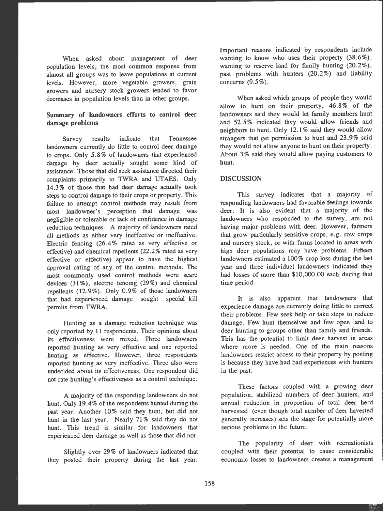When asked about management of deer population levels, the most common response from almost all groups was to leave populations at current levels. However, more vegetable growers, grain growers and nursery stock growers tended to favor decreases in population levels than in other groups.

# Summary of landowners efforts to control deer damage problems

Survey results indicate that Tennessee landowners currently do little to control deer damage to crops. Only **5.8%** of landowners that experienced damage by deer actually sought some kind of assistance. Those that did seek assistance directed their complaints primarily to TWRA and UTAES. Only 14.3% of those that bad deer damage actually took steps to control damage to their crops or property. This failure to attempt control methods may result from most landowner's perception that damage was negligible or tolerable or lack of confidence in damage reduction techniques. A majority of landowners rated all methods as either very ineffective or ineffective. Electric fencing (26.4% rated as very effective or effective) and chemical repellents (22.2 % rated as very effective or effective) appear to have the highest approval rating of any of the control methods. The most commonly used control methods were scare devices  $(31\%)$ , electric fencing  $(29\%)$  and chemical repellents  $(12.9\%)$ . Only 0.9% of those landowners that had experienced damage sought special kill permits from TWRA.

Hunting as a damage reduction technique was only reported by 11 respondents. Their opinions about its effectiveness were mixed. Three landowners reported hunting as very effective and one reported hunting as effective. However, three respondents reported hunting as very ineffective. Three also were undecided about its effectiveness. One respondent did not rate bunting's effectiveness as a control technique.

A majority of the responding landowners do not hunt. Only 19.4% of the respondents hunted during the past year. Another 10% said they hunt, but did not hunt in the last year. Nearly 71% said they do not hunt. This trend is similar for landowners that experienced deer damage as well as those that did not.

Slightly over 29% of landowners indicated that they posted their property during the last year. Important reasons indicated by respondents include wanting to know who uses their property (38.6%), wanting to reserve land for family hunting (20.2%), past problems with hunters  $(20.2\%)$  and liability concerns  $(9.5\%)$ .

When asked which groups of people they would allow to hunt on their property,  $46.8\%$  of the landowners said they would let family members hunt and 52.5 % indicated they would allow friends and neighbors to hunt. Only 12.1% said they would allow strangers that get permission to hunt and 23.9% said they would not allow anyone to hunt on their property. About 3% said they would allow paying customers to hunt.

## **DISCUSSION**

This survey indicates that a majority of responding landowners had favorable feelings towards deer. It is also evident that a majority of the landowners who responded to the survey, are not having major problems with deer. However, farmers that grow particularly sensitive crops, e.g. row crops and nursery stock, or with farms located in areas with high deer populations may have problems. Fifteen landowners estimated a 100% crop loss during the last year and three individual landowners indicated they had losses of more than \$10,000.00 each during that time period.

It is also apparent that landowners that experience damage are currently doing little to correct their problems. Few seek help or take steps to reduce damage. Few hunt themselves and few open land to deer hunting to groups other than family and friends. This has the potential to limit deer harvest in areas where more is needed. One of the main reasons landowners restrict access to their property by posting is because they have had bad experiences with bunters in the past.

These factors coupled with a growing deer population, stabilized numbers of deer hunters, and annual reduction in proportion of total deer herd harvested (even though total number of deer havested generally increases) sets the stage for potentially more serious problems in the future.

The popularity of deer with recreationists coupled with their potential to cause considerable economic losses to landowners creates a management